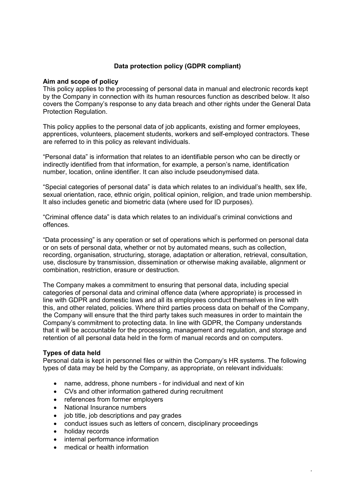# **Data protection policy (GDPR compliant)**

#### **Aim and scope of policy**

This policy applies to the processing of personal data in manual and electronic records kept by the Company in connection with its human resources function as described below. It also covers the Company's response to any data breach and other rights under the General Data Protection Regulation.

This policy applies to the personal data of job applicants, existing and former employees, apprentices, volunteers, placement students, workers and self-employed contractors. These are referred to in this policy as relevant individuals.

"Personal data" is information that relates to an identifiable person who can be directly or indirectly identified from that information, for example, a person's name, identification number, location, online identifier. It can also include pseudonymised data.

"Special categories of personal data" is data which relates to an individual's health, sex life, sexual orientation, race, ethnic origin, political opinion, religion, and trade union membership. It also includes genetic and biometric data (where used for ID purposes).

"Criminal offence data" is data which relates to an individual's criminal convictions and offences.

"Data processing" is any operation or set of operations which is performed on personal data or on sets of personal data, whether or not by automated means, such as collection, recording, organisation, structuring, storage, adaptation or alteration, retrieval, consultation, use, disclosure by transmission, dissemination or otherwise making available, alignment or combination, restriction, erasure or destruction.

The Company makes a commitment to ensuring that personal data, including special categories of personal data and criminal offence data (where appropriate) is processed in line with GDPR and domestic laws and all its employees conduct themselves in line with this, and other related, policies. Where third parties process data on behalf of the Company, the Company will ensure that the third party takes such measures in order to maintain the Company's commitment to protecting data. In line with GDPR, the Company understands that it will be accountable for the processing, management and regulation, and storage and retention of all personal data held in the form of manual records and on computers.

## **Types of data held**

Personal data is kept in personnel files or within the Company's HR systems. The following types of data may be held by the Company, as appropriate, on relevant individuals:

**.**

- name, address, phone numbers for individual and next of kin
- CVs and other information gathered during recruitment
- references from former employers
- National Insurance numbers
- job title, job descriptions and pay grades
- conduct issues such as letters of concern, disciplinary proceedings
- holiday records
- internal performance information
- medical or health information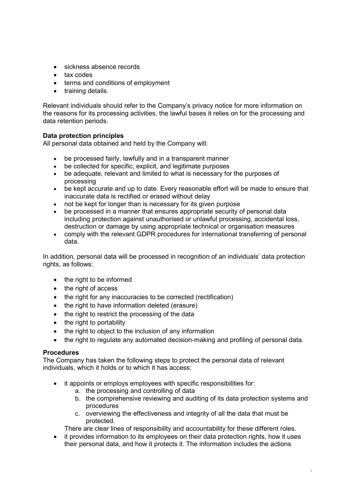- sickness absence records
- tax codes
- terms and conditions of employment
- training details.

Relevant individuals should refer to the Company's privacy notice for more information on the reasons for its processing activities, the lawful bases it relies on for the processing and data retention periods.

## **Data protection principles**

All personal data obtained and held by the Company will:

- be processed fairly, lawfully and in a transparent manner
- be collected for specific, explicit, and legitimate purposes
- be adequate, relevant and limited to what is necessary for the purposes of processing
- be kept accurate and up to date. Every reasonable effort will be made to ensure that inaccurate data is rectified or erased without delay
- 
- not be kept for longer than is necessary for its given purpose<br>• be processed in a manner that ensures appropriate security of be processed in a manner that ensures appropriate security of personal data including protection against unauthorised or unlawful processing, accidental loss, destruction or damage by using appropriate technical or organisation measures
- comply with the relevant GDPR procedures for international transferring of personal data.

In addition, personal data will be processed in recognition of an individuals' data protection rights, as follows:

- the right to be informed
- the right of access
- the right for any inaccuracies to be corrected (rectification)
- the right to have information deleted (erasure)
- the right to restrict the processing of the data
- the right to portability
- the right to object to the inclusion of any information
- the right to regulate any automated decision-making and profiling of personal data.

## **Procedures**

The Company has taken the following steps to protect the personal data of relevant individuals, which it holds or to which it has access:

- it appoints or employs employees with specific responsibilities for:
	- a. the processing and controlling of data
	- b. the comprehensive reviewing and auditing of its data protection systems and procedures

**.**

c. overviewing the effectiveness and integrity of all the data that must be protected.

There are clear lines of responsibility and accountability for these different roles.

 it provides information to its employees on their data protection rights, how it uses their personal data, and how it protects it. The information includes the actions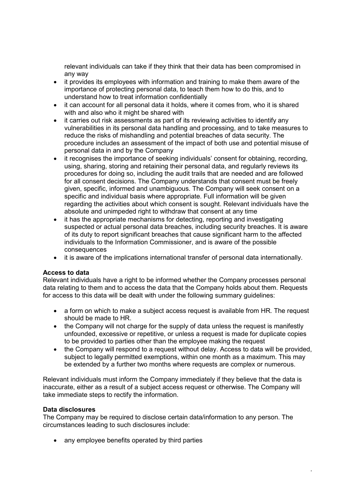relevant individuals can take if they think that their data has been compromised in any way

- it provides its employees with information and training to make them aware of the importance of protecting personal data, to teach them how to do this, and to understand how to treat information confidentially
- it can account for all personal data it holds, where it comes from, who it is shared with and also who it might be shared with
- it carries out risk assessments as part of its reviewing activities to identify any vulnerabilities in its personal data handling and processing, and to take measures to reduce the risks of mishandling and potential breaches of data security. The procedure includes an assessment of the impact of both use and potential misuse of personal data in and by the Company
- it recognises the importance of seeking individuals' consent for obtaining, recording, using, sharing, storing and retaining their personal data, and regularly reviews its procedures for doing so, including the audit trails that are needed and are followed for all consent decisions. The Company understands that consent must be freely given, specific, informed and unambiguous. The Company will seek consent on a specific and individual basis where appropriate. Full information will be given regarding the activities about which consent is sought. Relevant individuals have the absolute and unimpeded right to withdraw that consent at any time
- it has the appropriate mechanisms for detecting, reporting and investigating suspected or actual personal data breaches, including security breaches. It is aware of its duty to report significant breaches that cause significant harm to the affected individuals to the Information Commissioner, and is aware of the possible consequences
- it is aware of the implications international transfer of personal data internationally.

## **Access to data**

Relevant individuals have a right to be informed whether the Company processes personal data relating to them and to access the data that the Company holds about them. Requests for access to this data will be dealt with under the following summary guidelines:

- a form on which to make a subject access request is available from HR*.* The request should be made to HR.
- the Company will not charge for the supply of data unless the request is manifestly unfounded, excessive or repetitive, or unless a request is made for duplicate copies to be provided to parties other than the employee making the request
- the Company will respond to a request without delay. Access to data will be provided, subject to legally permitted exemptions, within one month as a maximum. This may be extended by a further two months where requests are complex or numerous.

**.**

Relevant individuals must inform the Company immediately if they believe that the data is inaccurate, either as a result of a subject access request or otherwise. The Company will take immediate steps to rectify the information.

## **Data disclosures**

The Company may be required to disclose certain data/information to any person. The circumstances leading to such disclosures include:

• any employee benefits operated by third parties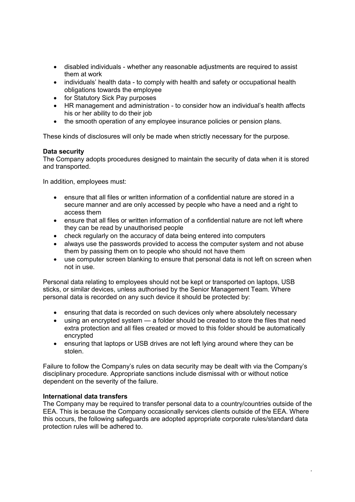- disabled individuals whether any reasonable adjustments are required to assist them at work
- individuals' health data to comply with health and safety or occupational health obligations towards the employee
- for Statutory Sick Pay purposes
- HR management and administration to consider how an individual's health affects his or her ability to do their job
- the smooth operation of any employee insurance policies or pension plans.

These kinds of disclosures will only be made when strictly necessary for the purpose.

## **Data security**

The Company adopts procedures designed to maintain the security of data when it is stored and transported.

In addition, employees must:

- ensure that all files or written information of a confidential nature are stored in a secure manner and are only accessed by people who have a need and a right to access them
- ensure that all files or written information of a confidential nature are not left where they can be read by unauthorised people
- check regularly on the accuracy of data being entered into computers
- always use the passwords provided to access the computer system and not abuse them by passing them on to people who should not have them
- use computer screen blanking to ensure that personal data is not left on screen when not in use.

Personal data relating to employees should not be kept or transported on laptops, USB sticks, or similar devices, unless authorised by the Senior Management Team*.* Where personal data is recorded on any such device it should be protected by:

- ensuring that data is recorded on such devices only where absolutely necessary
- using an encrypted system a folder should be created to store the files that need extra protection and all files created or moved to this folder should be automatically encrypted
- ensuring that laptops or USB drives are not left lying around where they can be stolen.

Failure to follow the Company's rules on data security may be dealt with via the Company's disciplinary procedure. Appropriate sanctions include dismissal with or without notice dependent on the severity of the failure.

## **International data transfers**

The Company may be required to transfer personal data to a country/countries outside of the EEA. This is because the Company occasionally services clients outside of the EEA. Where this occurs, the following safeguards are adopted appropriate corporate rules/standard data protection rules will be adhered to.

**.**